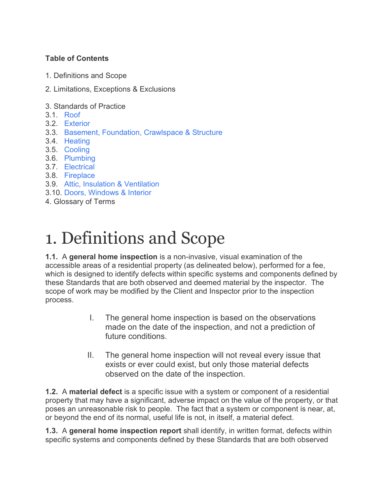#### **Table of Contents**

- 1. Definitions and Scope
- 2. Limitations, Exceptions & Exclusions
- 3. Standards of Practice
- 3.1. Roof
- 3.2. Exterior
- 3.3. Basement, Foundation, Crawlspace & Structure
- 3.4. Heating
- 3.5. Cooling
- 3.6. Plumbing
- 3.7. Electrical
- 3.8. Fireplace
- 3.9. Attic, Insulation & Ventilation
- 3.10. Doors, Windows & Interior
- 4. Glossary of Terms

# 1. Definitions and Scope

**1.1.** A **general home inspection** is a non-invasive, visual examination of the accessible areas of a residential property (as delineated below), performed for a fee, which is designed to identify defects within specific systems and components defined by these Standards that are both observed and deemed material by the inspector. The scope of work may be modified by the Client and Inspector prior to the inspection process.

- I. The general home inspection is based on the observations made on the date of the inspection, and not a prediction of future conditions.
- II. The general home inspection will not reveal every issue that exists or ever could exist, but only those material defects observed on the date of the inspection.

**1.2.** A **material defect** is a specific issue with a system or component of a residential property that may have a significant, adverse impact on the value of the property, or that poses an unreasonable risk to people. The fact that a system or component is near, at, or beyond the end of its normal, useful life is not, in itself, a material defect.

**1.3.** A **general home inspection report** shall identify, in written format, defects within specific systems and components defined by these Standards that are both observed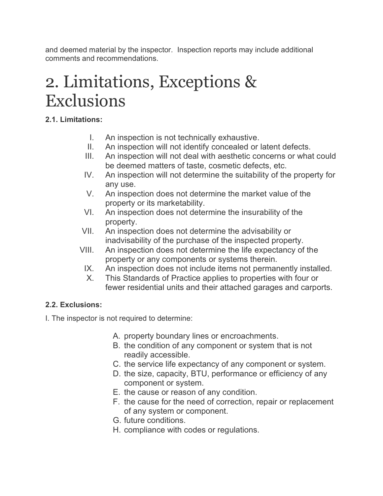and deemed material by the inspector. Inspection reports may include additional comments and recommendations.

# 2. Limitations, Exceptions & Exclusions

# **2.1. Limitations:**

- I. An inspection is not technically exhaustive.
- II. An inspection will not identify concealed or latent defects.
- III. An inspection will not deal with aesthetic concerns or what could be deemed matters of taste, cosmetic defects, etc.
- IV. An inspection will not determine the suitability of the property for any use.
- V. An inspection does not determine the market value of the property or its marketability.
- VI. An inspection does not determine the insurability of the property.
- VII. An inspection does not determine the advisability or inadvisability of the purchase of the inspected property.
- VIII. An inspection does not determine the life expectancy of the property or any components or systems therein.
	- IX. An inspection does not include items not permanently installed.
	- X. This Standards of Practice applies to properties with four or fewer residential units and their attached garages and carports.

# **2.2. Exclusions:**

I. The inspector is not required to determine:

- A. property boundary lines or encroachments.
- B. the condition of any component or system that is not readily accessible.
- C. the service life expectancy of any component or system.
- D. the size, capacity, BTU, performance or efficiency of any component or system.
- E. the cause or reason of any condition.
- F. the cause for the need of correction, repair or replacement of any system or component.
- G. future conditions.
- H. compliance with codes or regulations.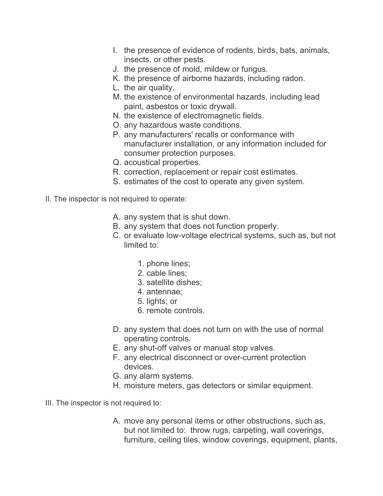- I. the presence of evidence of rodents, birds, bats, animals, insects, or other pests.
- J. the presence of mold, mildew or fungus.
- K. the presence of airborne hazards, including radon.
- L. the air quality.
- M. the existence of environmental hazards, including lead paint, asbestos or toxic drywall.
- N. the existence of electromagnetic fields.
- O. any hazardous waste conditions.
- P. any manufacturers' recalls or conformance with manufacturer installation, or any information included for consumer protection purposes.
- Q. acoustical properties.
- R. correction, replacement or repair cost estimates.
- S. estimates of the cost to operate any given system.
- II. The inspector is not required to operate:
	- A. any system that is shut down.
	- B. any system that does not function properly.
	- C. or evaluate low-voltage electrical systems, such as, but not limited to:
		- 1. phone lines;
		- 2. cable lines;
		- 3. satellite dishes;
		- 4. antennae;
		- 5. lights; or
		- 6. remote controls.
	- D. any system that does not turn on with the use of normal operating controls.
	- E. any shut-off valves or manual stop valves.
	- F. any electrical disconnect or over-current protection devices.
	- G. any alarm systems.
	- H. moisture meters, gas detectors or similar equipment.
- III. The inspector is not required to:
	- A. move any personal items or other obstructions, such as, but not limited to: throw rugs, carpeting, wall coverings, furniture, ceiling tiles, window coverings, equipment, plants,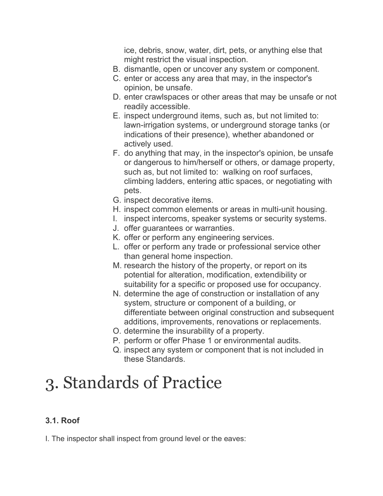ice, debris, snow, water, dirt, pets, or anything else that might restrict the visual inspection.

- B. dismantle, open or uncover any system or component.
- C. enter or access any area that may, in the inspector's opinion, be unsafe.
- D. enter crawlspaces or other areas that may be unsafe or not readily accessible.
- E. inspect underground items, such as, but not limited to: lawn-irrigation systems, or underground storage tanks (or indications of their presence), whether abandoned or actively used.
- F. do anything that may, in the inspector's opinion, be unsafe or dangerous to him/herself or others, or damage property, such as, but not limited to: walking on roof surfaces, climbing ladders, entering attic spaces, or negotiating with pets.
- G. inspect decorative items.
- H. inspect common elements or areas in multi-unit housing.
- I. inspect intercoms, speaker systems or security systems.
- J. offer guarantees or warranties.
- K. offer or perform any engineering services.
- L. offer or perform any trade or professional service other than general home inspection.
- M. research the history of the property, or report on its potential for alteration, modification, extendibility or suitability for a specific or proposed use for occupancy.
- N. determine the age of construction or installation of any system, structure or component of a building, or differentiate between original construction and subsequent additions, improvements, renovations or replacements.
- O. determine the insurability of a property.
- P. perform or offer Phase 1 or environmental audits.
- Q. inspect any system or component that is not included in these Standards.

# 3. Standards of Practice

# **3.1. Roof**

I. The inspector shall inspect from ground level or the eaves: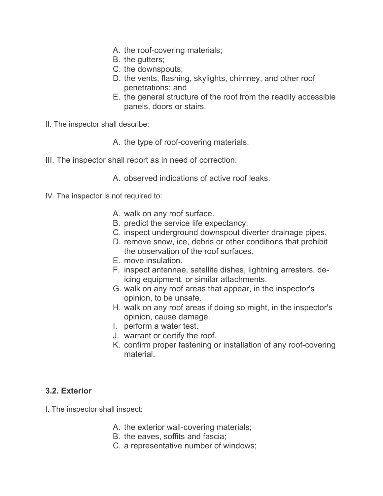- A. the roof-covering materials;
- B. the gutters;
- C. the downspouts;
- D. the vents, flashing, skylights, chimney, and other roof penetrations; and
- E. the general structure of the roof from the readily accessible panels, doors or stairs.
- II. The inspector shall describe:

A. the type of roof-covering materials.

III. The inspector shall report as in need of correction:

A. observed indications of active roof leaks.

- IV. The inspector is not required to:
	- A. walk on any roof surface.
	- B. predict the service life expectancy.
	- C. inspect underground downspout diverter drainage pipes.
	- D. remove snow, ice, debris or other conditions that prohibit the observation of the roof surfaces.
	- E. move insulation.
	- F. inspect antennae, satellite dishes, lightning arresters, deicing equipment, or similar attachments.
	- G. walk on any roof areas that appear, in the inspector's opinion, to be unsafe.
	- H. walk on any roof areas if doing so might, in the inspector's opinion, cause damage.
	- I. perform a water test.
	- J. warrant or certify the roof.
	- K. confirm proper fastening or installation of any roof-covering material.

## **3.2. Exterior**

I. The inspector shall inspect:

- A. the exterior wall-covering materials;
- B. the eaves, soffits and fascia;
- C. a representative number of windows;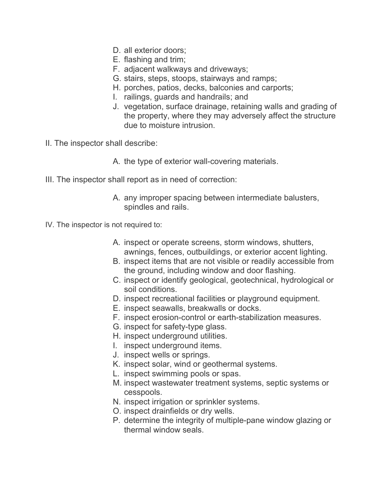- D. all exterior doors;
- E. flashing and trim;
- F. adjacent walkways and driveways;
- G. stairs, steps, stoops, stairways and ramps;
- H. porches, patios, decks, balconies and carports;
- I. railings, guards and handrails; and
- J. vegetation, surface drainage, retaining walls and grading of the property, where they may adversely affect the structure due to moisture intrusion.
- II. The inspector shall describe:
	- A. the type of exterior wall-covering materials.
- III. The inspector shall report as in need of correction:
	- A. any improper spacing between intermediate balusters, spindles and rails.
- IV. The inspector is not required to:
	- A. inspect or operate screens, storm windows, shutters, awnings, fences, outbuildings, or exterior accent lighting.
	- B. inspect items that are not visible or readily accessible from the ground, including window and door flashing.
	- C. inspect or identify geological, geotechnical, hydrological or soil conditions.
	- D. inspect recreational facilities or playground equipment.
	- E. inspect seawalls, breakwalls or docks.
	- F. inspect erosion-control or earth-stabilization measures.
	- G. inspect for safety-type glass.
	- H. inspect underground utilities.
	- I. inspect underground items.
	- J. inspect wells or springs.
	- K. inspect solar, wind or geothermal systems.
	- L. inspect swimming pools or spas.
	- M. inspect wastewater treatment systems, septic systems or cesspools.
	- N. inspect irrigation or sprinkler systems.
	- O. inspect drainfields or dry wells.
	- P. determine the integrity of multiple-pane window glazing or thermal window seals.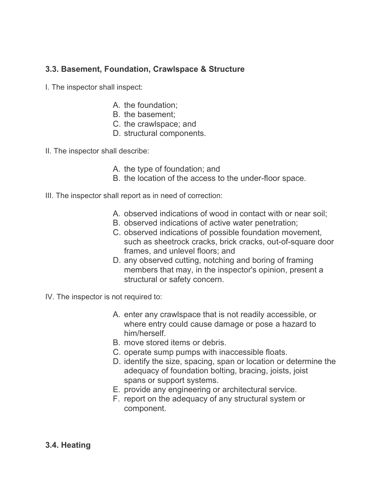## **3.3. Basement, Foundation, Crawlspace & Structure**

- I. The inspector shall inspect:
	- A. the foundation;
	- B. the basement;
	- C. the crawlspace; and
	- D. structural components.
- II. The inspector shall describe:
	- A. the type of foundation; and
	- B. the location of the access to the under-floor space.
- III. The inspector shall report as in need of correction:
	- A. observed indications of wood in contact with or near soil;
	- B. observed indications of active water penetration;
	- C. observed indications of possible foundation movement, such as sheetrock cracks, brick cracks, out-of-square door frames, and unlevel floors; and
	- D. any observed cutting, notching and boring of framing members that may, in the inspector's opinion, present a structural or safety concern.
- IV. The inspector is not required to:
	- A. enter any crawlspace that is not readily accessible, or where entry could cause damage or pose a hazard to him/herself.
	- B. move stored items or debris.
	- C. operate sump pumps with inaccessible floats.
	- D. identify the size, spacing, span or location or determine the adequacy of foundation bolting, bracing, joists, joist spans or support systems.
	- E. provide any engineering or architectural service.
	- F. report on the adequacy of any structural system or component.

#### **3.4. Heating**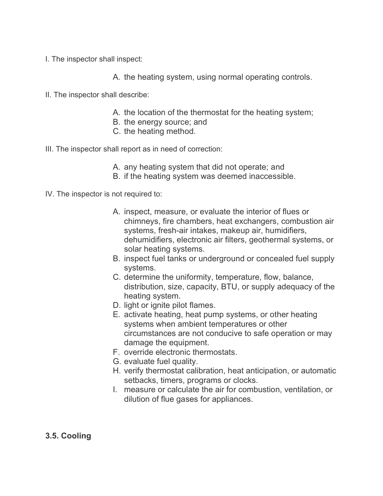- I. The inspector shall inspect:
	- A. the heating system, using normal operating controls.
- II. The inspector shall describe:
	- A. the location of the thermostat for the heating system;
	- B. the energy source; and
	- C. the heating method.
- III. The inspector shall report as in need of correction:
	- A. any heating system that did not operate; and
	- B. if the heating system was deemed inaccessible.

IV. The inspector is not required to:

- A. inspect, measure, or evaluate the interior of flues or chimneys, fire chambers, heat exchangers, combustion air systems, fresh-air intakes, makeup air, humidifiers, dehumidifiers, electronic air filters, geothermal systems, or solar heating systems.
- B. inspect fuel tanks or underground or concealed fuel supply systems.
- C. determine the uniformity, temperature, flow, balance, distribution, size, capacity, BTU, or supply adequacy of the heating system.
- D. light or ignite pilot flames.
- E. activate heating, heat pump systems, or other heating systems when ambient temperatures or other circumstances are not conducive to safe operation or may damage the equipment.
- F. override electronic thermostats.
- G. evaluate fuel quality.
- H. verify thermostat calibration, heat anticipation, or automatic setbacks, timers, programs or clocks.
- I. measure or calculate the air for combustion, ventilation, or dilution of flue gases for appliances.

## **3.5. Cooling**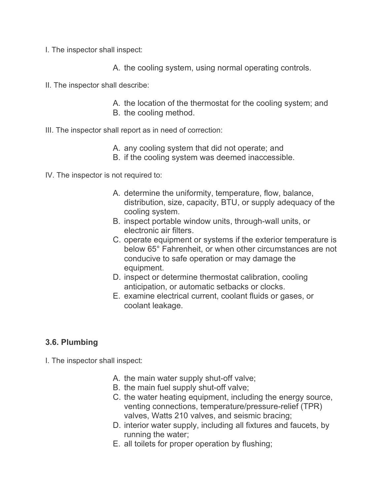- I. The inspector shall inspect:
	- A. the cooling system, using normal operating controls.
- II. The inspector shall describe:
	- A. the location of the thermostat for the cooling system; and B. the cooling method.
- III. The inspector shall report as in need of correction:
	- A. any cooling system that did not operate; and
	- B. if the cooling system was deemed inaccessible.

IV. The inspector is not required to:

- A. determine the uniformity, temperature, flow, balance, distribution, size, capacity, BTU, or supply adequacy of the cooling system.
- B. inspect portable window units, through-wall units, or electronic air filters.
- C. operate equipment or systems if the exterior temperature is below 65° Fahrenheit, or when other circumstances are not conducive to safe operation or may damage the equipment.
- D. inspect or determine thermostat calibration, cooling anticipation, or automatic setbacks or clocks.
- E. examine electrical current, coolant fluids or gases, or coolant leakage.

## **3.6. Plumbing**

I. The inspector shall inspect:

- A. the main water supply shut-off valve;
- B. the main fuel supply shut-off valve;
- C. the water heating equipment, including the energy source, venting connections, temperature/pressure-relief (TPR) valves, Watts 210 valves, and seismic bracing;
- D. interior water supply, including all fixtures and faucets, by running the water;
- E. all toilets for proper operation by flushing;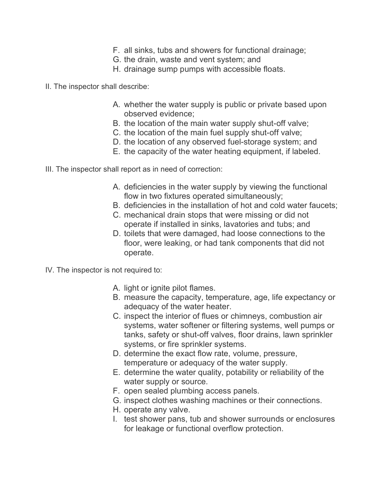- F. all sinks, tubs and showers for functional drainage;
- G. the drain, waste and vent system; and
- H. drainage sump pumps with accessible floats.
- II. The inspector shall describe:
	- A. whether the water supply is public or private based upon observed evidence;
	- B. the location of the main water supply shut-off valve;
	- C. the location of the main fuel supply shut-off valve;
	- D. the location of any observed fuel-storage system; and
	- E. the capacity of the water heating equipment, if labeled.
- III. The inspector shall report as in need of correction:
	- A. deficiencies in the water supply by viewing the functional flow in two fixtures operated simultaneously;
	- B. deficiencies in the installation of hot and cold water faucets;
	- C. mechanical drain stops that were missing or did not operate if installed in sinks, lavatories and tubs; and
	- D. toilets that were damaged, had loose connections to the floor, were leaking, or had tank components that did not operate.
- IV. The inspector is not required to:
	- A. light or ignite pilot flames.
	- B. measure the capacity, temperature, age, life expectancy or adequacy of the water heater.
	- C. inspect the interior of flues or chimneys, combustion air systems, water softener or filtering systems, well pumps or tanks, safety or shut-off valves, floor drains, lawn sprinkler systems, or fire sprinkler systems.
	- D. determine the exact flow rate, volume, pressure, temperature or adequacy of the water supply.
	- E. determine the water quality, potability or reliability of the water supply or source.
	- F. open sealed plumbing access panels.
	- G. inspect clothes washing machines or their connections.
	- H. operate any valve.
	- I. test shower pans, tub and shower surrounds or enclosures for leakage or functional overflow protection.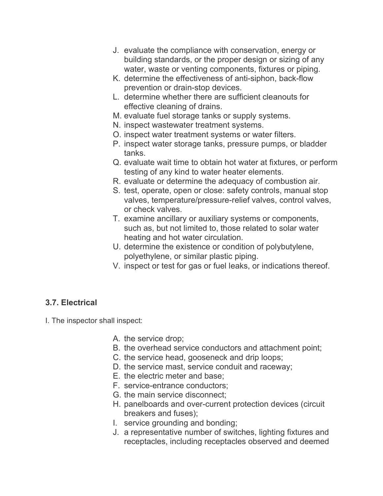- J. evaluate the compliance with conservation, energy or building standards, or the proper design or sizing of any water, waste or venting components, fixtures or piping.
- K. determine the effectiveness of anti-siphon, back-flow prevention or drain-stop devices.
- L. determine whether there are sufficient cleanouts for effective cleaning of drains.
- M. evaluate fuel storage tanks or supply systems.
- N. inspect wastewater treatment systems.
- O. inspect water treatment systems or water filters.
- P. inspect water storage tanks, pressure pumps, or bladder tanks.
- Q. evaluate wait time to obtain hot water at fixtures, or perform testing of any kind to water heater elements.
- R. evaluate or determine the adequacy of combustion air.
- S. test, operate, open or close: safety controls, manual stop valves, temperature/pressure-relief valves, control valves, or check valves.
- T. examine ancillary or auxiliary systems or components, such as, but not limited to, those related to solar water heating and hot water circulation.
- U. determine the existence or condition of polybutylene, polyethylene, or similar plastic piping.
- V. inspect or test for gas or fuel leaks, or indications thereof.

# **3.7. Electrical**

I. The inspector shall inspect:

- A. the service drop;
- B. the overhead service conductors and attachment point;
- C. the service head, gooseneck and drip loops;
- D. the service mast, service conduit and raceway;
- E. the electric meter and base;
- F. service-entrance conductors;
- G. the main service disconnect;
- H. panelboards and over-current protection devices (circuit breakers and fuses);
- I. service grounding and bonding;
- J. a representative number of switches, lighting fixtures and receptacles, including receptacles observed and deemed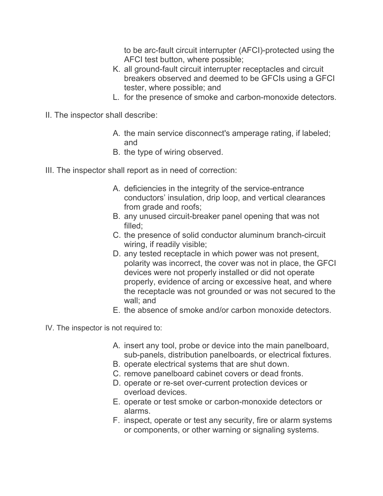to be arc-fault circuit interrupter (AFCI)-protected using the AFCI test button, where possible;

- K. all ground-fault circuit interrupter receptacles and circuit breakers observed and deemed to be GFCIs using a GFCI tester, where possible; and
- L. for the presence of smoke and carbon-monoxide detectors.
- II. The inspector shall describe:
	- A. the main service disconnect's amperage rating, if labeled; and
	- B. the type of wiring observed.
- III. The inspector shall report as in need of correction:
	- A. deficiencies in the integrity of the service-entrance conductors' insulation, drip loop, and vertical clearances from grade and roofs;
	- B. any unused circuit-breaker panel opening that was not filled;
	- C. the presence of solid conductor aluminum branch-circuit wiring, if readily visible;
	- D. any tested receptacle in which power was not present, polarity was incorrect, the cover was not in place, the GFCI devices were not properly installed or did not operate properly, evidence of arcing or excessive heat, and where the receptacle was not grounded or was not secured to the wall; and
	- E. the absence of smoke and/or carbon monoxide detectors.
- IV. The inspector is not required to:
	- A. insert any tool, probe or device into the main panelboard, sub-panels, distribution panelboards, or electrical fixtures.
	- B. operate electrical systems that are shut down.
	- C. remove panelboard cabinet covers or dead fronts.
	- D. operate or re-set over-current protection devices or overload devices.
	- E. operate or test smoke or carbon-monoxide detectors or alarms.
	- F. inspect, operate or test any security, fire or alarm systems or components, or other warning or signaling systems.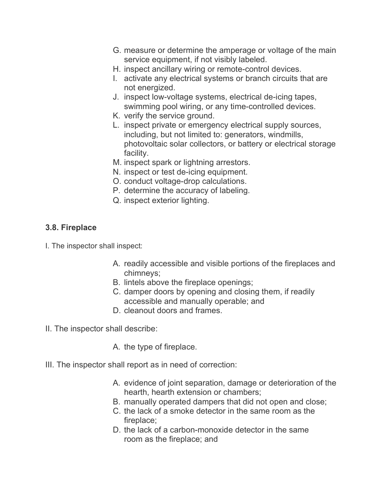- G. measure or determine the amperage or voltage of the main service equipment, if not visibly labeled.
- H. inspect ancillary wiring or remote-control devices.
- I. activate any electrical systems or branch circuits that are not energized.
- J. inspect low-voltage systems, electrical de-icing tapes, swimming pool wiring, or any time-controlled devices.
- K. verify the service ground.
- L. inspect private or emergency electrical supply sources, including, but not limited to: generators, windmills, photovoltaic solar collectors, or battery or electrical storage facility.
- M. inspect spark or lightning arrestors.
- N. inspect or test de-icing equipment.
- O. conduct voltage-drop calculations.
- P. determine the accuracy of labeling.
- Q. inspect exterior lighting.

## **3.8. Fireplace**

- I. The inspector shall inspect:
	- A. readily accessible and visible portions of the fireplaces and chimneys;
	- B. lintels above the fireplace openings;
	- C. damper doors by opening and closing them, if readily accessible and manually operable; and
	- D. cleanout doors and frames.
- II. The inspector shall describe:
	- A. the type of fireplace.
- III. The inspector shall report as in need of correction:
	- A. evidence of joint separation, damage or deterioration of the hearth, hearth extension or chambers;
	- B. manually operated dampers that did not open and close;
	- C. the lack of a smoke detector in the same room as the fireplace;
	- D. the lack of a carbon-monoxide detector in the same room as the fireplace; and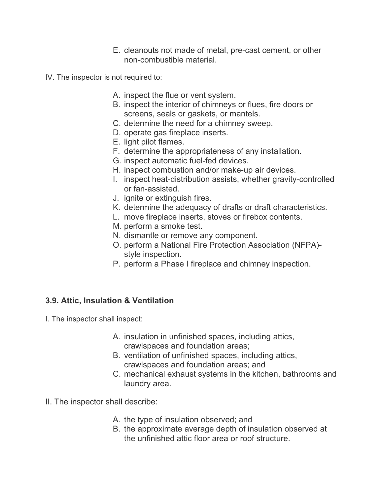- E. cleanouts not made of metal, pre-cast cement, or other non-combustible material.
- IV. The inspector is not required to:
	- A. inspect the flue or vent system.
	- B. inspect the interior of chimneys or flues, fire doors or screens, seals or gaskets, or mantels.
	- C. determine the need for a chimney sweep.
	- D. operate gas fireplace inserts.
	- E. light pilot flames.
	- F. determine the appropriateness of any installation.
	- G. inspect automatic fuel-fed devices.
	- H. inspect combustion and/or make-up air devices.
	- I. inspect heat-distribution assists, whether gravity-controlled or fan-assisted.
	- J. ignite or extinguish fires.
	- K. determine the adequacy of drafts or draft characteristics.
	- L. move fireplace inserts, stoves or firebox contents.
	- M. perform a smoke test.
	- N. dismantle or remove any component.
	- O. perform a National Fire Protection Association (NFPA) style inspection.
	- P. perform a Phase I fireplace and chimney inspection.

#### **3.9. Attic, Insulation & Ventilation**

- I. The inspector shall inspect:
	- A. insulation in unfinished spaces, including attics, crawlspaces and foundation areas;
	- B. ventilation of unfinished spaces, including attics, crawlspaces and foundation areas; and
	- C. mechanical exhaust systems in the kitchen, bathrooms and laundry area.
- II. The inspector shall describe:
	- A. the type of insulation observed; and
	- B. the approximate average depth of insulation observed at the unfinished attic floor area or roof structure.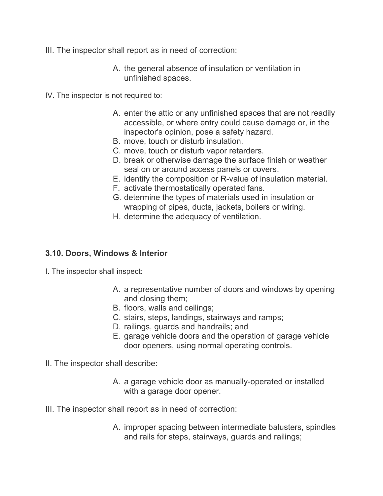- III. The inspector shall report as in need of correction:
	- A. the general absence of insulation or ventilation in unfinished spaces.
- IV. The inspector is not required to:
	- A. enter the attic or any unfinished spaces that are not readily accessible, or where entry could cause damage or, in the inspector's opinion, pose a safety hazard.
	- B. move, touch or disturb insulation.
	- C. move, touch or disturb vapor retarders.
	- D. break or otherwise damage the surface finish or weather seal on or around access panels or covers.
	- E. identify the composition or R-value of insulation material.
	- F. activate thermostatically operated fans.
	- G. determine the types of materials used in insulation or wrapping of pipes, ducts, jackets, boilers or wiring.
	- H. determine the adequacy of ventilation.

#### **3.10. Doors, Windows & Interior**

- I. The inspector shall inspect:
	- A. a representative number of doors and windows by opening and closing them;
	- B. floors, walls and ceilings;
	- C. stairs, steps, landings, stairways and ramps;
	- D. railings, guards and handrails; and
	- E. garage vehicle doors and the operation of garage vehicle door openers, using normal operating controls.
- II. The inspector shall describe:
	- A. a garage vehicle door as manually-operated or installed with a garage door opener.
- III. The inspector shall report as in need of correction:
	- A. improper spacing between intermediate balusters, spindles and rails for steps, stairways, guards and railings;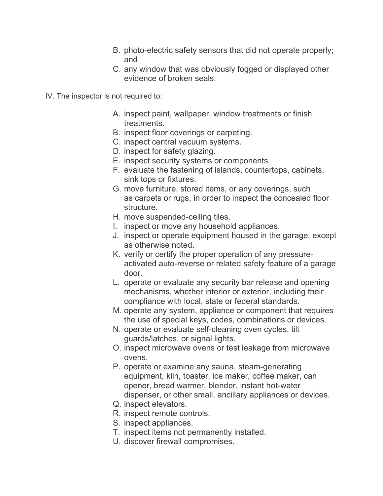- B. photo-electric safety sensors that did not operate properly; and
- C. any window that was obviously fogged or displayed other evidence of broken seals.

IV. The inspector is not required to:

- A. inspect paint, wallpaper, window treatments or finish treatments.
- B. inspect floor coverings or carpeting.
- C. inspect central vacuum systems.
- D. inspect for safety glazing.
- E. inspect security systems or components.
- F. evaluate the fastening of islands, countertops, cabinets, sink tops or fixtures.
- G. move furniture, stored items, or any coverings, such as carpets or rugs, in order to inspect the concealed floor structure.
- H. move suspended-ceiling tiles.
- I. inspect or move any household appliances.
- J. inspect or operate equipment housed in the garage, except as otherwise noted.
- K. verify or certify the proper operation of any pressureactivated auto-reverse or related safety feature of a garage door.
- L. operate or evaluate any security bar release and opening mechanisms, whether interior or exterior, including their compliance with local, state or federal standards.
- M. operate any system, appliance or component that requires the use of special keys, codes, combinations or devices.
- N. operate or evaluate self-cleaning oven cycles, tilt guards/latches, or signal lights.
- O. inspect microwave ovens or test leakage from microwave ovens.
- P. operate or examine any sauna, steam-generating equipment, kiln, toaster, ice maker, coffee maker, can opener, bread warmer, blender, instant hot-water dispenser, or other small, ancillary appliances or devices.
- Q. inspect elevators.
- R. inspect remote controls.
- S. inspect appliances.
- T. inspect items not permanently installed.
- U. discover firewall compromises.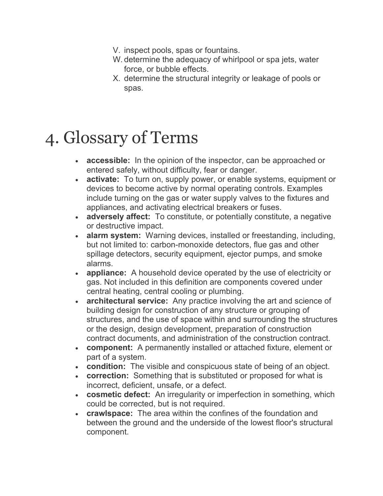- V. inspect pools, spas or fountains.
- W. determine the adequacy of whirlpool or spa jets, water force, or bubble effects.
- X. determine the structural integrity or leakage of pools or spas.

# 4. Glossary of Terms

- **accessible:** In the opinion of the inspector, can be approached or entered safely, without difficulty, fear or danger.
- **activate:** To turn on, supply power, or enable systems, equipment or devices to become active by normal operating controls. Examples include turning on the gas or water supply valves to the fixtures and appliances, and activating electrical breakers or fuses.
- **adversely affect:** To constitute, or potentially constitute, a negative or destructive impact.
- **alarm system:** Warning devices, installed or freestanding, including, but not limited to: carbon-monoxide detectors, flue gas and other spillage detectors, security equipment, ejector pumps, and smoke alarms.
- **appliance:** A household device operated by the use of electricity or gas. Not included in this definition are components covered under central heating, central cooling or plumbing.
- **architectural service:** Any practice involving the art and science of building design for construction of any structure or grouping of structures, and the use of space within and surrounding the structures or the design, design development, preparation of construction contract documents, and administration of the construction contract.
- **component:** A permanently installed or attached fixture, element or part of a system.
- **condition:** The visible and conspicuous state of being of an object.
- **correction:** Something that is substituted or proposed for what is incorrect, deficient, unsafe, or a defect.
- **cosmetic defect:** An irregularity or imperfection in something, which could be corrected, but is not required.
- **crawlspace:** The area within the confines of the foundation and between the ground and the underside of the lowest floor's structural component.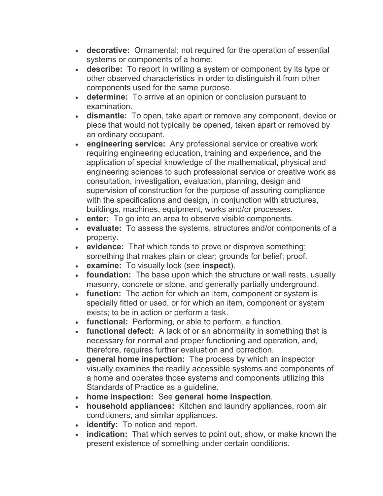- **decorative:** Ornamental; not required for the operation of essential systems or components of a home.
- **describe:** To report in writing a system or component by its type or other observed characteristics in order to distinguish it from other components used for the same purpose.
- **determine:** To arrive at an opinion or conclusion pursuant to examination.
- **dismantle:** To open, take apart or remove any component, device or piece that would not typically be opened, taken apart or removed by an ordinary occupant.
- **engineering service:** Any professional service or creative work requiring engineering education, training and experience, and the application of special knowledge of the mathematical, physical and engineering sciences to such professional service or creative work as consultation, investigation, evaluation, planning, design and supervision of construction for the purpose of assuring compliance with the specifications and design, in conjunction with structures, buildings, machines, equipment, works and/or processes.
- **enter:** To go into an area to observe visible components.
- **evaluate:** To assess the systems, structures and/or components of a property.
- **evidence:** That which tends to prove or disprove something; something that makes plain or clear; grounds for belief; proof.
- **examine:** To visually look (see **inspect**).
- **foundation:** The base upon which the structure or wall rests, usually masonry, concrete or stone, and generally partially underground.
- **function:** The action for which an item, component or system is specially fitted or used, or for which an item, component or system exists; to be in action or perform a task.
- **functional:** Performing, or able to perform, a function.
- **functional defect:** A lack of or an abnormality in something that is necessary for normal and proper functioning and operation, and, therefore, requires further evaluation and correction.
- **general home inspection:** The process by which an inspector visually examines the readily accessible systems and components of a home and operates those systems and components utilizing this Standards of Practice as a guideline.
- **home inspection:** See **general home inspection**.
- **household appliances:** Kitchen and laundry appliances, room air conditioners, and similar appliances.
- **identify:** To notice and report.
- **indication:** That which serves to point out, show, or make known the present existence of something under certain conditions.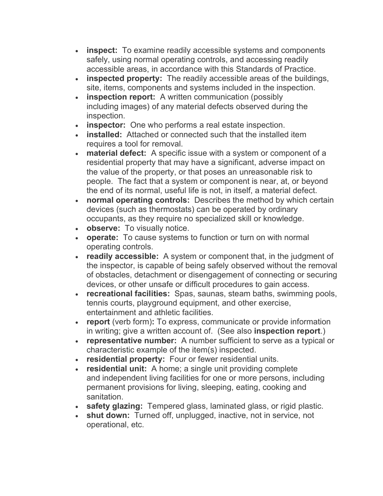- **inspect:** To examine readily accessible systems and components safely, using normal operating controls, and accessing readily accessible areas, in accordance with this Standards of Practice.
- **inspected property:** The readily accessible areas of the buildings, site, items, components and systems included in the inspection.
- **inspection report:** A written communication (possibly including images) of any material defects observed during the inspection.
- **inspector:** One who performs a real estate inspection.
- **installed:** Attached or connected such that the installed item requires a tool for removal.
- **material defect:** A specific issue with a system or component of a residential property that may have a significant, adverse impact on the value of the property, or that poses an unreasonable risk to people. The fact that a system or component is near, at, or beyond the end of its normal, useful life is not, in itself, a material defect.
- **normal operating controls:** Describes the method by which certain devices (such as thermostats) can be operated by ordinary occupants, as they require no specialized skill or knowledge.
- **observe:** To visually notice.
- **operate:** To cause systems to function or turn on with normal operating controls.
- **readily accessible:** A system or component that, in the judgment of the inspector, is capable of being safely observed without the removal of obstacles, detachment or disengagement of connecting or securing devices, or other unsafe or difficult procedures to gain access.
- **recreational facilities:** Spas, saunas, steam baths, swimming pools, tennis courts, playground equipment, and other exercise, entertainment and athletic facilities.
- **report** (verb form)**:** To express, communicate or provide information in writing; give a written account of. (See also **inspection report**.)
- **representative number:** A number sufficient to serve as a typical or characteristic example of the item(s) inspected.
- **residential property:** Four or fewer residential units.
- **residential unit:** A home; a single unit providing complete and independent living facilities for one or more persons, including permanent provisions for living, sleeping, eating, cooking and sanitation.
- **safety glazing:** Tempered glass, laminated glass, or rigid plastic.
- **shut down:** Turned off, unplugged, inactive, not in service, not operational, etc.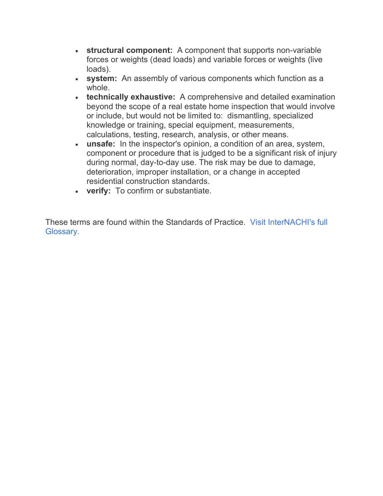- **structural component:** A component that supports non-variable forces or weights (dead loads) and variable forces or weights (live loads).
- **system:** An assembly of various components which function as a whole.
- **technically exhaustive:** A comprehensive and detailed examination beyond the scope of a real estate home inspection that would involve or include, but would not be limited to: dismantling, specialized knowledge or training, special equipment, measurements, calculations, testing, research, analysis, or other means.
- **unsafe:** In the inspector's opinion, a condition of an area, system, component or procedure that is judged to be a significant risk of injury during normal, day-to-day use. The risk may be due to damage, deterioration, improper installation, or a change in accepted residential construction standards.
- **verify:** To confirm or substantiate.

These terms are found within the Standards of Practice. Visit InterNACHI's full Glossary.